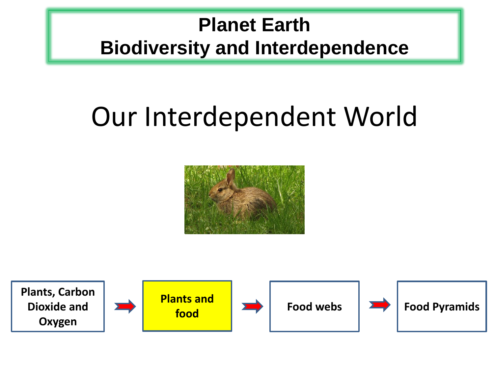## **Planet Earth Biodiversity and Interdependence**

# Our Interdependent World



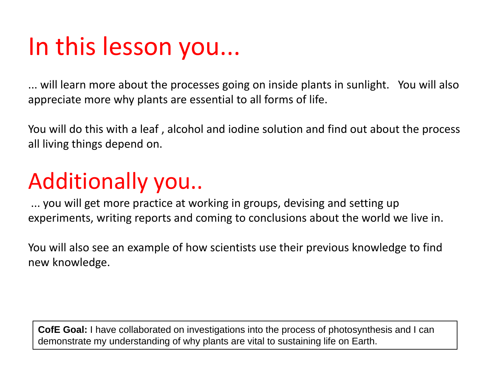# In this lesson you...

... will learn more about the processes going on inside plants in sunlight. You will also appreciate more why plants are essential to all forms of life.

You will do this with a leaf , alcohol and iodine solution and find out about the process all living things depend on.

# Additionally you..

... you will get more practice at working in groups, devising and setting up experiments, writing reports and coming to conclusions about the world we live in.

You will also see an example of how scientists use their previous knowledge to find new knowledge.

**CofE Goal:** I have collaborated on investigations into the process of photosynthesis and I can demonstrate my understanding of why plants are vital to sustaining life on Earth.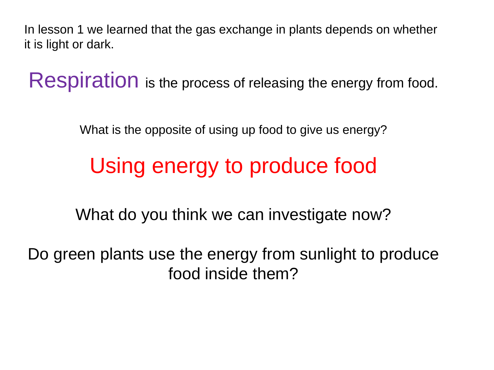In lesson 1 we learned that the gas exchange in plants depends on whether it is light or dark.

Respiration is the process of releasing the energy from food.

What is the opposite of using up food to give us energy?

# Using energy to produce food

What do you think we can investigate now?

Do green plants use the energy from sunlight to produce food inside them?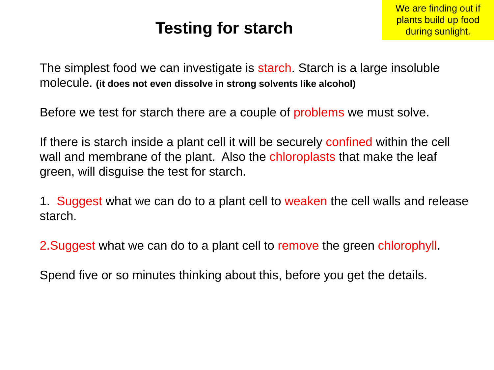### **Testing for starch**

The simplest food we can investigate is starch. Starch is a large insoluble molecule. **(it does not even dissolve in strong solvents like alcohol)**

Before we test for starch there are a couple of problems we must solve.

If there is starch inside a plant cell it will be securely confined within the cell wall and membrane of the plant. Also the chloroplasts that make the leaf green, will disguise the test for starch.

1. Suggest what we can do to a plant cell to weaken the cell walls and release starch.

2. Suggest what we can do to a plant cell to remove the green chlorophyll.

Spend five or so minutes thinking about this, before you get the details.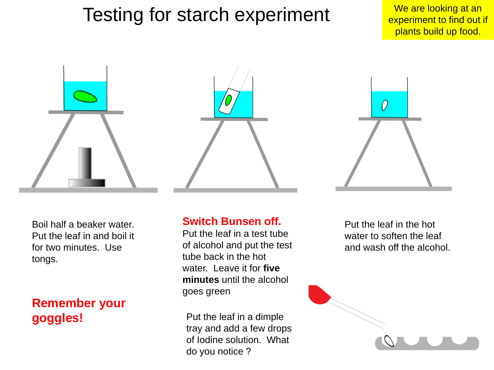### Testing for starch experiment We are looking at an

experiment to find out if plants build up food.





Boil half a beaker water. Put the leaf in and boil it for two minutes. Use tongs.

#### **Remember your goggles!**

#### **Switch Bunsen off.**

Put the leaf in a test tube of alcohol and put the test tube back in the hot water. Leave it for **five minutes** until the alcohol goes green

Put the leaf in a dimple tray and add a few drops of Iodine solution. What do you notice ?

Put the leaf in the hot water to soften the leaf and wash off the alcohol.

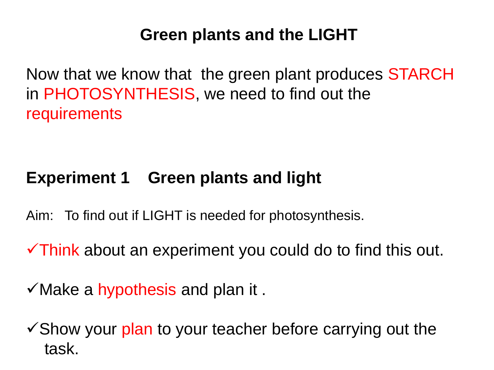### **Green plants and the LIGHT**

Now that we know that the green plant produces STARCH in PHOTOSYNTHESIS, we need to find out the requirements

### **Experiment 1 Green plants and light**

- Aim: To find out if LIGHT is needed for photosynthesis.
- Think about an experiment you could do to find this out.
- $\checkmark$  Make a hypothesis and plan it.
- $\checkmark$  Show your plan to your teacher before carrying out the task.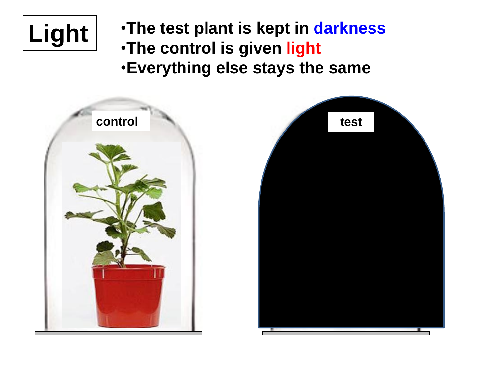

**Light** •**The test plant is kept in darkness** •**The control is given light** •**Everything else stays the same**



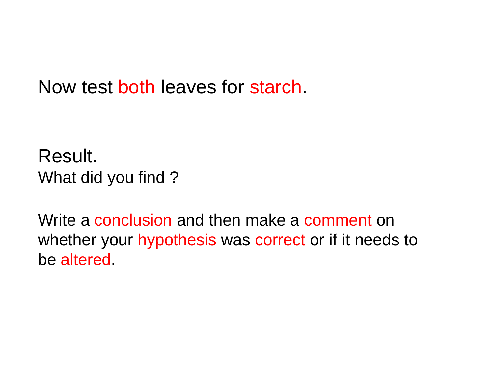Now test both leaves for starch.

Result. What did you find ?

Write a conclusion and then make a comment on whether your hypothesis was correct or if it needs to be altered.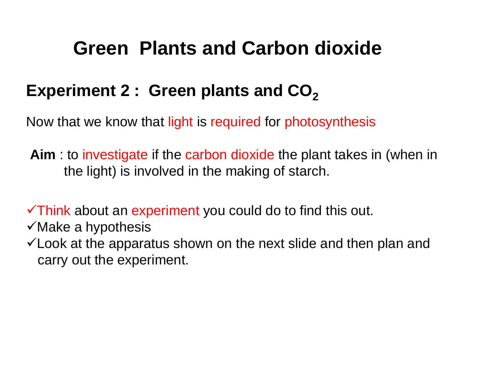### **Green Plants and Carbon dioxide**

### Experiment 2 : Green plants and CO<sub>2</sub>

Now that we know that light is required for photosynthesis

**Aim** : to investigate if the carbon dioxide the plant takes in (when in the light) is involved in the making of starch.

 $\checkmark$ Think about an experiment you could do to find this out.

- $\checkmark$  Make a hypothesis
- $\checkmark$  Look at the apparatus shown on the next slide and then plan and carry out the experiment.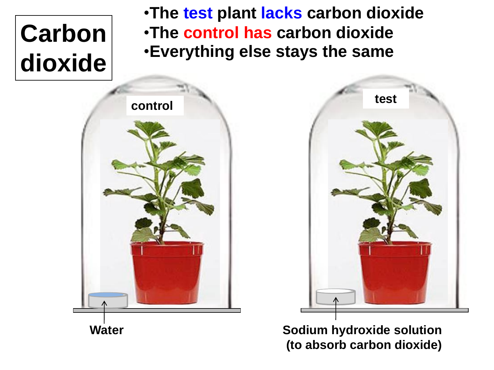# **Carbon dioxide**

•**The test plant lacks carbon dioxide** •**The control has carbon dioxide** •**Everything else stays the same**





**Sodium hydroxide solution (to absorb carbon dioxide)**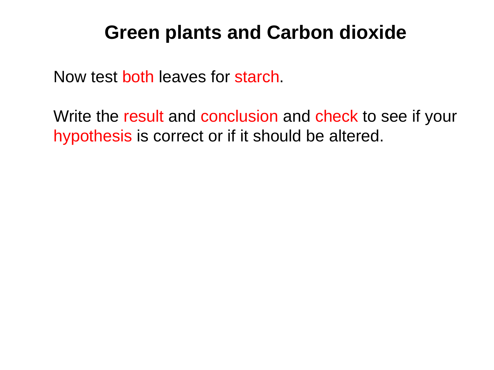### **Green plants and Carbon dioxide**

Now test both leaves for starch.

Write the result and conclusion and check to see if your hypothesis is correct or if it should be altered.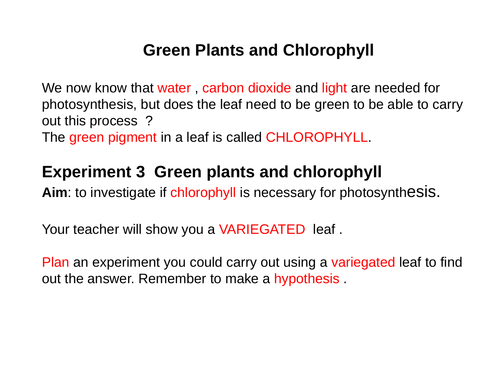### **Green Plants and Chlorophyll**

We now know that water, carbon dioxide and light are needed for photosynthesis, but does the leaf need to be green to be able to carry out this process ?

The green pigment in a leaf is called CHLOROPHYLL.

### **Experiment 3 Green plants and chlorophyll**

**Aim**: to investigate if chlorophyll is necessary for photosynthesis.

Your teacher will show you a VARIEGATED leaf.

Plan an experiment you could carry out using a variegated leaf to find out the answer. Remember to make a hypothesis .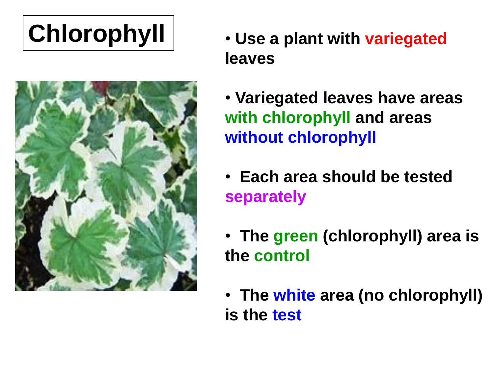

- **Chlorophyll Use a plant with variegated leaves**
	- **Variegated leaves have areas with chlorophyll and areas without chlorophyll**
	- • **Each area should be tested separately**
	- • **The green (chlorophyll) area is the control**
	- • **The white area (no chlorophyll) is the test**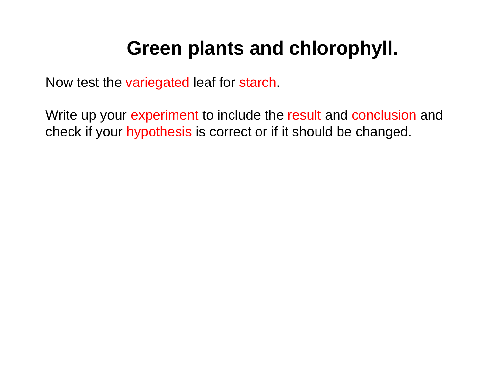### **Green plants and chlorophyll.**

Now test the variegated leaf for starch.

Write up your experiment to include the result and conclusion and check if your hypothesis is correct or if it should be changed.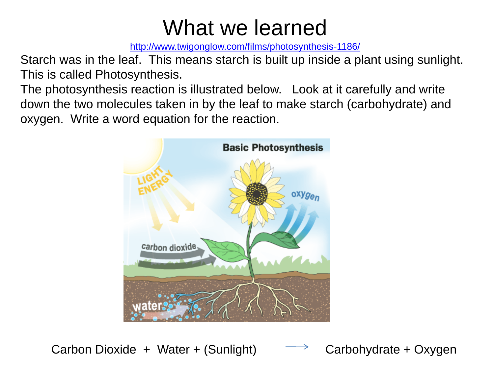# What we learned

<http://www.twigonglow.com/films/photosynthesis-1186/>

Starch was in the leaf. This means starch is built up inside a plant using sunlight. This is called Photosynthesis.

The photosynthesis reaction is illustrated below. Look at it carefully and write down the two molecules taken in by the leaf to make starch (carbohydrate) and oxygen. Write a word equation for the reaction.



Carbon Dioxide + Water + (Sunlight)  $\longrightarrow$  Carbohydrate + Oxygen